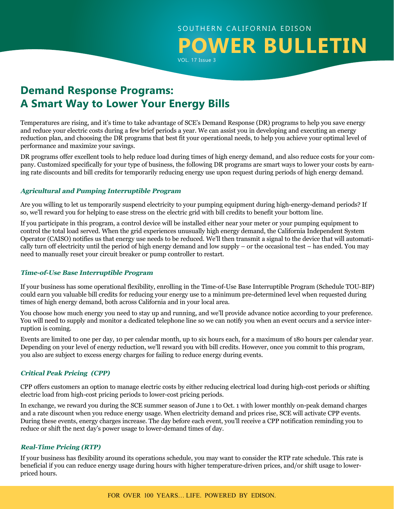# SOUTHERN CALIFORNIA EDISON **POWER BULLETIN** VOL. 17 Issue 3

**Demand Response Programs: A Smart Way to Lower Your Energy Bills**

Temperatures are rising, and it's time to take advantage of SCE's Demand Response (DR) programs to help you save energy and reduce your electric costs during a few brief periods a year. We can assist you in developing and executing an energy reduction plan, and choosing the DR programs that best fit your operational needs, to help you achieve your optimal level of performance and maximize your savings.

DR programs offer excellent tools to help reduce load during times of high energy demand, and also reduce costs for your company. Customized specifically for your type of business, the following DR programs are smart ways to lower your costs by earning rate discounts and bill credits for temporarily reducing energy use upon request during periods of high energy demand.

## **Agricultural and Pumping Interruptible Program**

Are you willing to let us temporarily suspend electricity to your pumping equipment during high-energy-demand periods? If so, we'll reward you for helping to ease stress on the electric grid with bill credits to benefit your bottom line.

If you participate in this program, a control device will be installed either near your meter or your pumping equipment to control the total load served. When the grid experiences unusually high energy demand, the California Independent System Operator (CAISO) notifies us that energy use needs to be reduced. We'll then transmit a signal to the device that will automatically turn off electricity until the period of high energy demand and low supply – or the occasional test – has ended. You may need to manually reset your circuit breaker or pump controller to restart.

### **Time-of-Use Base Interruptible Program**

If your business has some operational flexibility, enrolling in the Time-of-Use Base Interruptible Program (Schedule TOU-BIP) could earn you valuable bill credits for reducing your energy use to a minimum pre-determined level when requested during times of high energy demand, both across California and in your local area.

You choose how much energy you need to stay up and running, and we'll provide advance notice according to your preference. You will need to supply and monitor a dedicated telephone line so we can notify you when an event occurs and a service interruption is coming.

Events are limited to one per day, 10 per calendar month, up to six hours each, for a maximum of 180 hours per calendar year. Depending on your level of energy reduction, we'll reward you with bill credits. However, once you commit to this program, you also are subject to excess energy charges for failing to reduce energy during events.

## **Critical Peak Pricing (CPP)**

CPP offers customers an option to manage electric costs by either reducing electrical load during high-cost periods or shifting electric load from high-cost pricing periods to lower-cost pricing periods.

In exchange, we reward you during the SCE summer season of June 1 to Oct. 1 with lower monthly on-peak demand charges and a rate discount when you reduce energy usage. When electricity demand and prices rise, SCE will activate CPP events. During these events, energy charges increase. The day before each event, you'll receive a CPP notification reminding you to reduce or shift the next day's power usage to lower-demand times of day.

## **Real-Time Pricing (RTP)**

If your business has flexibility around its operations schedule, you may want to consider the RTP rate schedule. This rate is beneficial if you can reduce energy usage during hours with higher temperature-driven prices, and/or shift usage to lowerpriced hours.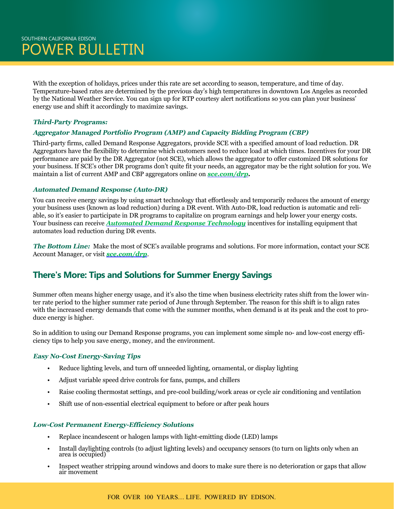With the exception of holidays, prices under this rate are set according to season, temperature, and time of day. Temperature-based rates are determined by the previous day's high temperatures in downtown Los Angeles as recorded by the National Weather Service. You can sign up for RTP courtesy alert notifications so you can plan your business' energy use and shift it accordingly to maximize savings.

### **Third-Party Programs:**

### **Aggregator Managed Portfolio Program (AMP) and Capacity Bidding Program (CBP)**

Third-party firms, called Demand Response Aggregators, provide SCE with a specified amount of load reduction. DR Aggregators have the flexibility to determine which customers need to reduce load at which times. Incentives for your DR performance are paid by the DR Aggregator (not SCE), which allows the aggregator to offer customized DR solutions for your business. If SCE's other DR programs don't quite fit your needs, an aggregator may be the right solution for you. We maintain a list of current AMP and CBP aggregators online on *[sce.com/drp.](http://sce.com/drp)*

#### **Automated Demand Response (Auto-DR)**

You can receive energy savings by using smart technology that effortlessly and temporarily reduces the amount of energy your business uses (known as load reduction) during a DR event. With Auto-DR, load reduction is automatic and reliable, so it's easier to participate in DR programs to capitalize on program earnings and help lower your energy costs. Your business can receive *[Automated Demand Response Technology](http://on.sce.com/2scnPYy)* incentives for installing equipment that automates load reduction during DR events.

**The Bottom Line:** Make the most of SCE's available programs and solutions. For more information, contact your SCE Account Manager, or visit *[sce.com/drp](http://sce.com/drp)*.

# **There's More: Tips and Solutions for Summer Energy Savings**

Summer often means higher energy usage, and it's also the time when business electricity rates shift from the lower winter rate period to the higher summer rate period of June through September. The reason for this shift is to align rates with the increased energy demands that come with the summer months, when demand is at its peak and the cost to produce energy is higher.

So in addition to using our Demand Response programs, you can implement some simple no- and low-cost energy efficiency tips to help you save energy, money, and the environment.

### **Easy No-Cost Energy-Saving Tips**

- Reduce lighting levels, and turn off unneeded lighting, ornamental, or display lighting
- Adjust variable speed drive controls for fans, pumps, and chillers
- Raise cooling thermostat settings, and pre-cool building/work areas or cycle air conditioning and ventilation
- Shift use of non-essential electrical equipment to before or after peak hours

#### **Low-Cost Permanent Energy-Efficiency Solutions**

- Replace incandescent or halogen lamps with light-emitting diode (LED) lamps
- Install daylighting controls (to adjust lighting levels) and occupancy sensors (to turn on lights only when an area is occupied)
- Inspect weather stripping around windows and doors to make sure there is no deterioration or gaps that allow air movement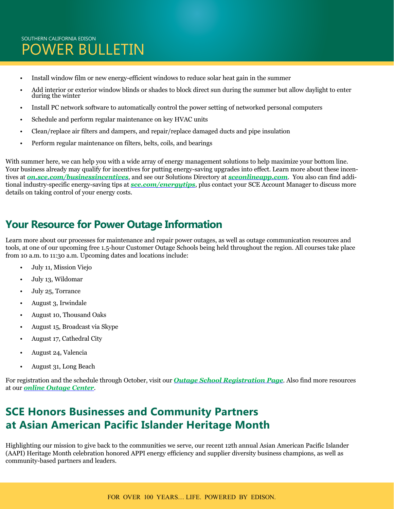# SOUTHERN CALIFORNIA EDISON POWER BULLETIN

- Install window film or new energy-efficient windows to reduce solar heat gain in the summer
- Add interior or exterior window blinds or shades to block direct sun during the summer but allow daylight to enter during the winter
- Install PC network software to automatically control the power setting of networked personal computers
- Schedule and perform regular maintenance on key HVAC units
- Clean/replace air filters and dampers, and repair/replace damaged ducts and pipe insulation
- Perform regular maintenance on filters, belts, coils, and bearings

With summer here, we can help you with a wide array of energy management solutions to help maximize your bottom line. Your business already may qualify for incentives for putting energy-saving upgrades into effect. Learn more about these incentives at *[on.sce.com/businessincentives](https://www.sce.com/wps/portal/home/business/savings-incentives/!ut/p/b1/04_Sj9CPykssy0xPLMnMz0vMAfGjzOINLdwdPTyDDTwtfMLMDTyd3IMDwwLCDBxNDYAKIoEKDHAARwNC-sP1o1CVuAeZGxl4eoW5-vg7GRoZmBhBFVi6G7h6ePkDFYQEGht4Ggca-AU7OhobGJhBFeBxQ0FuhEGmp6MiAGPyT0Q!/dl4/d5/L2dBISEvZ0FBIS9nQSEh/?ecid=van_businessincentives)*, and see our Solutions Directory at *[sceonlineapp.com](http://sceonlineapp.com)*. You also can find additional industry-specific energy-saving tips at *[sce.com/energytips](https://www.sce.com/wps/portal/home/customer-service/summer-readiness/for%C2%AD-business/!ut/p/b1/04_Sj9CPykssy0xPLMnMz0vMAfGjzOINLdwdPTyDDTwNzH0sDTydAoJcLUMsjX3DDIAKIoEKDHAARwNC-sP1o_AqCTBCV2DhE2YOVOAeHBgWEGbg4WsMVWDpbuDq4eVv4OkeEmhs4GkcaOAX7OhobGBgBlWAx5EFuREGmZ7pigD4ULG-/dl4/d5/L2dBISEvZ0FBIS9nQSEh/?from=energytips)*, plus contact your SCE Account Manager to discuss more details on taking control of your energy costs.

# **Your Resource for Power Outage Information**

Learn more about our processes for maintenance and repair power outages, as well as outage communication resources and tools, at one of our upcoming free 1.5-hour Customer Outage Schools being held throughout the region. All courses take place from 10 a.m. to 11:30 a.m. Upcoming dates and locations include:

- July 11, Mission Viejo
- July 13, Wildomar
- July 25, Torrance
- August 3, Irwindale
- August 10, Thousand Oaks
- August 15, Broadcast via Skype
- August 17, Cathedral City
- August 24, Valencia
- August 31, Long Beach

For registration and the schedule through October, visit our *[Outage School Registration Page](https://survey.sce.com/perseus/se.ashx?s=0B87A62B073C413F)*. Also find more resources at our *[online Outage Center](https://www.sce.com/wps/portal/home/outage-center/!ut/p/b1/lVLBUoMwEP0VPfTIZJkQEo5ppwPUKiIUCxcmTdOKWqAaO-rXGyonZ4rtnrIz7719m7eoQEtU1OJQbYWumlq8dn3hljbzeRAmELJ5RiEc-0mc3WcQeLYB5AYAJ4rDkR8F9iRghu_HCQa-cCaB53IbwEGPqECFrHWrn1D-LlUpm1qrWpeqHkH_HkHzocVWXUnTqLeO0cpqjfIVJsxjlFgbd7W2HEcSS9iEWIpKoTaCYmbT3uGAhX82PDochvwCPB-mwSwyI9IYQ4hjuEs4xwBuDxj4pdyYpCdHEEDJhVv_EYyID0Zw6t_cjlOAlF4sODvjEqrn_b7gJs8ut0-NlmcG2u4WO4a_rJcHBpi0h-85v_4BTaC7ZQ!!/dl4/d5/L2dBISEvZ0FBIS9nQSEh/)*.

# **SCE Honors Businesses and Community Partners at Asian American Pacific Islander Heritage Month**

Highlighting our mission to give back to the communities we serve, our recent 12th annual Asian American Pacific Islander (AAPI) Heritage Month celebration honored APPI energy efficiency and supplier diversity business champions, as well as community-based partners and leaders.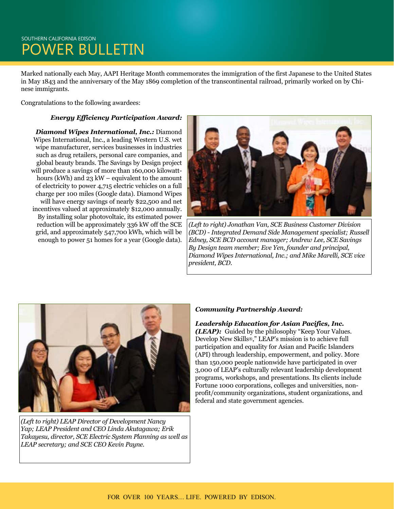# SOUTHERN CALIFORNIA EDISON POWER BULLETIN

Marked nationally each May, AAPI Heritage Month commemorates the immigration of the first Japanese to the United States in May 1843 and the anniversary of the May 1869 completion of the transcontinental railroad, primarily worked on by Chinese immigrants.

Congratulations to the following awardees:

#### *Energy Efficiency Participation Award:*

*Diamond Wipes International, Inc.:* Diamond Wipes International, Inc., a leading Western U.S. wet wipe manufacturer, services businesses in industries such as drug retailers, personal care companies, and global beauty brands. The Savings by Design project will produce a savings of more than 160,000 kilowatthours (kWh) and 23 kW – equivalent to the amount of electricity to power 4,715 electric vehicles on a full charge per 100 miles (Google data). Diamond Wipes will have energy savings of nearly \$22,500 and net incentives valued at approximately \$12,000 annually. By installing solar photovoltaic, its estimated power reduction will be approximately 336 kW off the SCE grid, and approximately 547,700 kWh, which will be enough to power 51 homes for a year (Google data).



*(Left to right) Jonathan Van, SCE Business Customer Division (BCD) - Integrated Demand Side Management specialist; Russell Edney, SCE BCD account manager; Andrew Lee, SCE Savings By Design team member; Eve Yen, founder and principal, Diamond Wipes International, Inc.; and Mike Marelli, SCE vice president, BCD.*



*(Left to right) LEAP Director of Development Nancy Yap; LEAP President and CEO Linda Akutagawa; Erik Takayesu, director, SCE Electric System Planning as well as LEAP secretary; and SCE CEO Kevin Payne.*

### *Community Partnership Award:*

# *Leadership Education for Asian Pacifics, Inc.*

*(LEAP)*: Guided by the philosophy "Keep Your Values. Develop New Skills®," LEAP's mission is to achieve full participation and equality for Asian and Pacific Islanders (API) through leadership, empowerment, and policy. More than 150,000 people nationwide have participated in over 3,000 of LEAP's culturally relevant leadership development programs, workshops, and presentations. Its clients include Fortune 1000 corporations, colleges and universities, nonprofit/community organizations, student organizations, and federal and state government agencies.